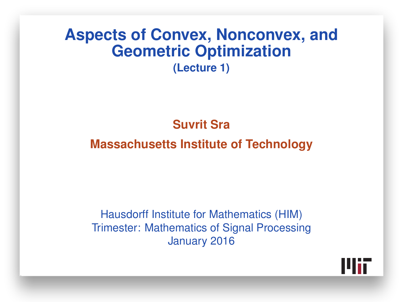#### **Aspects of Convex, Nonconvex, and Geometric Optimization (Lecture 1)**

#### **Suvrit Sra**

#### **Massachusetts Institute of Technology**

Hausdorff Institute for Mathematics (HIM) Trimester: Mathematics of Signal Processing January 2016

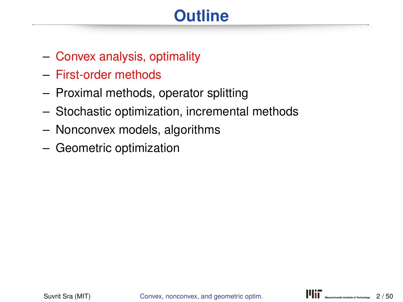# **Outline**

- Convex analysis, optimality
- First-order methods
- Proximal methods, operator splitting
- Stochastic optimization, incremental methods
- Nonconvex models, algorithms
- Geometric optimization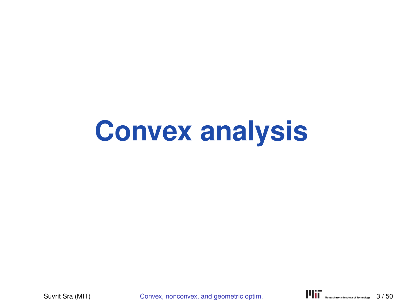# **Convex analysis**

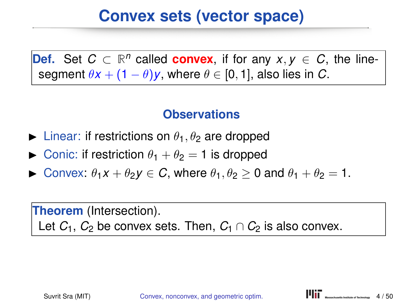# **Convex sets (vector space)**

**Def.** Set  $C \subset \mathbb{R}^n$  called **convex**, if for any  $x, y \in C$ , the linesegment  $\theta x + (1 - \theta)y$ , where  $\theta \in [0, 1]$ , also lies in *C*.

#### **Observations**

- lacktriangleright Linear: if restrictions on  $\theta_1$ ,  $\theta_2$  are dropped
- **IDED** Conic: if restriction  $\theta_1 + \theta_2 = 1$  is dropped
- $\triangleright$  Convex:  $\theta_1 x + \theta_2 y \in C$ , where  $\theta_1, \theta_2 \ge 0$  and  $\theta_1 + \theta_2 = 1$ .

**Theorem** (Intersection). Let  $C_1$ ,  $C_2$  be convex sets. Then,  $C_1 \cap C_2$  is also convex.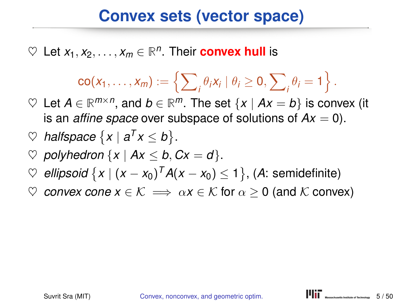## **Convex sets (vector space)**

 $\heartsuit$  Let  $x_1, x_2, \ldots, x_m \in \mathbb{R}^n$ . Their **convex hull** is

$$
\mathsf{co}(x_1,\ldots,x_m):=\left\{\sum\nolimits_i\theta_i x_i\mid \theta_i\geq 0,\sum\nolimits_i\theta_i=1\right\}.
$$

 $\heartsuit$  Let *A* ∈ ℝ<sup>*m*×*n*</sup>, and *b* ∈ ℝ<sup>*m*</sup>. The set {*x* | *Ax* = *b*} is convex (it is an *affine space* over subspace of solutions of  $Ax = 0$ ).

$$
\heartspace{1}{\heartspace{1}}\text{pace} \{x \mid a^T x \leq b\}.
$$

- $\heartsuit$  polyhedron  $\{x \mid Ax \leq b, Cx = d\}.$
- ♡ *ellipsoid*  $\{x \mid (x x_0)^T A(x x_0) \leq 1\}$ , (A: semidefinite)
- $\heartsuit$  *convex cone*  $x \in \mathcal{K} \implies \alpha x \in \mathcal{K}$  for  $\alpha > 0$  (and  $\mathcal{K}$  convex)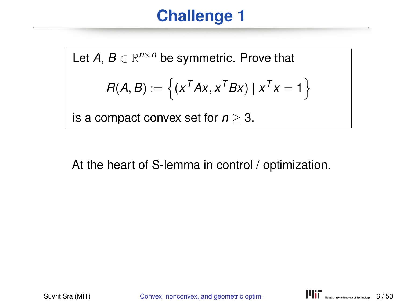# **Challenge 1**

Let  $A, B \in \mathbb{R}^{n \times n}$  be symmetric. Prove that  $R(A, B) := \left\{ (x^T A x, x^T B x) \mid x^T x = 1 \right\}$ is a compact convex set for  $n \geq 3$ .

At the heart of S-lemma in control / optimization.

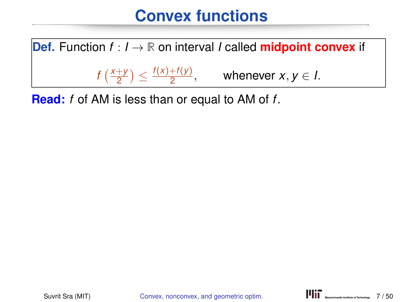# **Convex functions**



**Read:** *f* of AM is less than or equal to AM of *f*.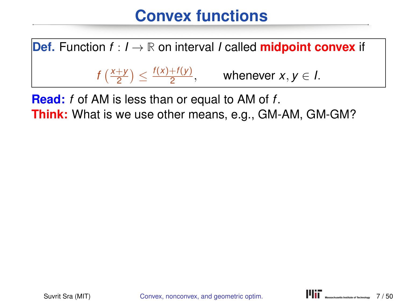# **Convex functions**



**Read:** *f* of AM is less than or equal to AM of *f*. **Think:** What is we use other means, e.g., GM-AM, GM-GM?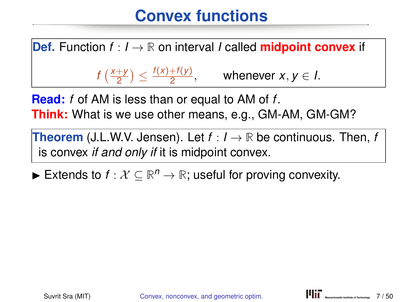# **Convex functions**

**Def.** Function  $f: I \to \mathbb{R}$  on interval *I* called **midpoint convex** if  $f\left(\frac{x+y}{2}\right)$  $\frac{f(y)+f(y)}{2}$  $\frac{+(y)}{2}$ , whenever *x*, *y*  $\in$  *l*.

**Read:** *f* of AM is less than or equal to AM of *f*. **Think:** What is we use other means, e.g., GM-AM, GM-GM?

**Theorem** (J.L.W.V. Jensen). Let  $f: I \rightarrow \mathbb{R}$  be continuous. Then, f is convex *if and only if* it is midpoint convex.

► Extends to  $f: \mathcal{X} \subseteq \mathbb{R}^n \to \mathbb{R}$ ; useful for proving convexity.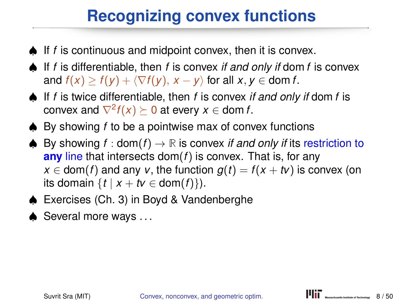# **Recognizing convex functions**

- ♠ If *f* is continuous and midpoint convex, then it is convex.
- ♠ If *f* is differentiable, then *f* is convex *if and only if* dom *f* is convex and  $f(x) > f(y) + \langle \nabla f(y), x - y \rangle$  for all  $x, y \in \text{dom } f$ .
- ♠ If *f* is twice differentiable, then *f* is convex *if and only if* dom *f* is  $\mathsf{convex}\ \mathsf{and}\ \nabla^2 f(x) \succeq 0\ \mathsf{at}\ \mathsf{every}\ x \in \mathsf{dom}\ f.$
- ♠ By showing *f* to be a pointwise max of convex functions
- ♠ By showing *f* : dom(*f*) → **R** is convex *if and only if* its restriction to **any** line that intersects dom(*f*) is convex. That is, for any  $x \in \text{dom}(f)$  and any *v*, the function  $g(t) = f(x + tv)$  is convex (on its domain  $\{t \mid x + tv \in \text{dom}(f)\}\)$ .
- ♠ Exercises (Ch. 3) in Boyd & Vandenberghe
- ♠ Several more ways . . .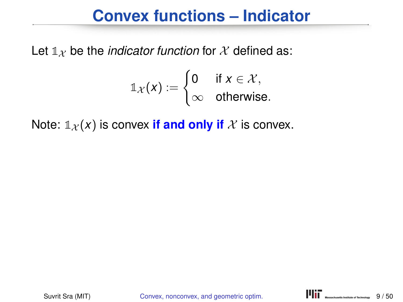## **Convex functions – Indicator**

Let  $\mathbb{1}_X$  be the *indicator function* for X defined as:

$$
\mathbb{1}_{\mathcal{X}}(x) := \begin{cases} 0 & \text{if } x \in \mathcal{X}, \\ \infty & \text{otherwise.} \end{cases}
$$

Note:  $\mathbb{1}_{\mathcal{X}}(x)$  is convex **if and only if** X is convex.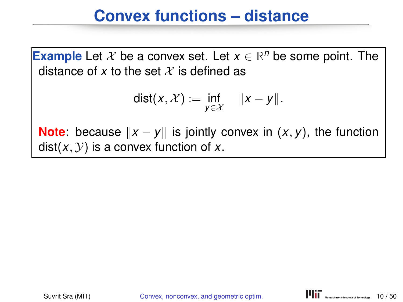## **Convex functions – distance**

**Example** Let  $X$  be a convex set. Let  $x \in \mathbb{R}^n$  be some point. The distance of x to the set  $\mathcal X$  is defined as

$$
dist(x, \mathcal{X}) := \inf_{y \in \mathcal{X}} \quad ||x - y||.
$$

**Note**: because  $||x - y||$  is jointly convex in  $(x, y)$ , the function  $dist(x, y)$  is a convex function of x.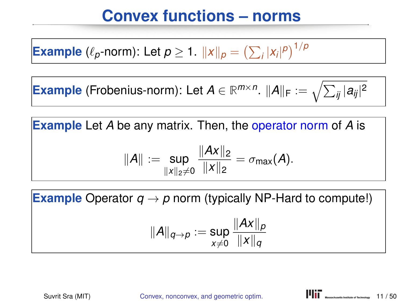# **Convex functions – norms**

**Example** ( $\ell_p$ -norm): Let  $p \ge 1$ .  $||x||_p = \left(\sum_i |x_i|^p\right)^{1/p}$ 

 $\bm{\mathsf{Example}}$  (Frobenius-norm): Let  $A \in \mathbb{R}^{m \times n}$ .  $\|A\|_{\mathsf{F}} := \sqrt{\sum_{ij} |a_{ij}|^2}$ 

**Example** Let *A* be any matrix. Then, the operator norm of *A* is

$$
||A|| := \sup_{||x||_2 \neq 0} \frac{||Ax||_2}{||x||_2} = \sigma_{\max}(A).
$$

**Example** Operator  $q \rightarrow p$  norm (typically NP-Hard to compute!)

$$
||A||_{q\to p} := \sup_{x\neq 0} \frac{||Ax||_p}{||x||_q}
$$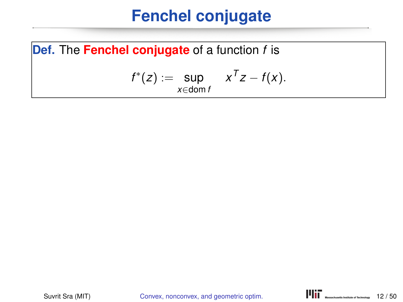# **Fenchel conjugate**

**Def.** The **Fenchel conjugate** of a function *f* is

$$
f^*(z) := \sup_{x \in \text{dom } f} x^T z - f(x).
$$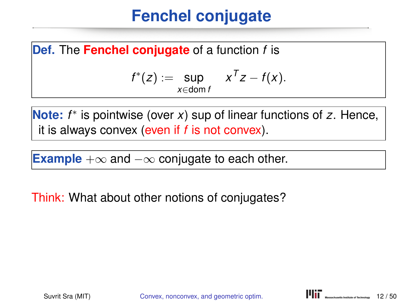# **Fenchel conjugate**

**Def.** The **Fenchel conjugate** of a function *f* is

$$
f^*(z) := \sup_{x \in \text{dom } f} x^T z - f(x).
$$

**Note:** *f* ∗ is pointwise (over *x*) sup of linear functions of *z*. Hence, it is always convex (even if *f* is not convex).

**Example** +∞ and −∞ conjugate to each other.

Think: What about other notions of conjugates?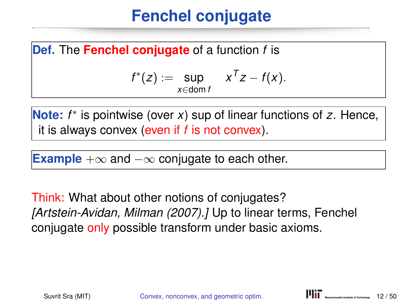# **Fenchel conjugate**

**Def.** The **Fenchel conjugate** of a function *f* is

$$
f^*(z) := \sup_{x \in \text{dom } f} x^T z - f(x).
$$

**Note:** *f* ∗ is pointwise (over *x*) sup of linear functions of *z*. Hence, it is always convex (even if *f* is not convex).

**Example** +∞ and −∞ conjugate to each other.

Think: What about other notions of conjugates? *[Artstein-Avidan, Milman (2007).]* Up to linear terms, Fenchel conjugate only possible transform under basic axioms.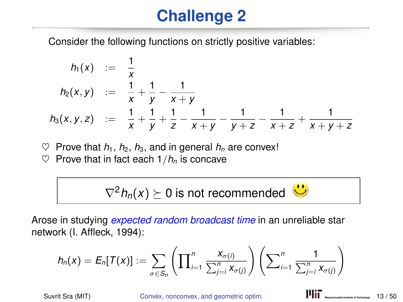# **Challenge 2**

Consider the following functions on strictly positive variables:

$$
h_1(x) := \frac{1}{x}
$$
  
\n
$$
h_2(x,y) := \frac{1}{x} + \frac{1}{y} - \frac{1}{x+y}
$$
  
\n
$$
h_3(x,y,z) := \frac{1}{x} + \frac{1}{y} + \frac{1}{z} - \frac{1}{x+y} - \frac{1}{y+z} - \frac{1}{x+z} + \frac{1}{x+y+z}
$$

 $\heartsuit$  Prove that  $h_1$ ,  $h_2$ ,  $h_3$ , and in general  $h_n$  are convex!

 $\heartsuit$  Prove that in fact each  $1/h_n$  is concave

$$
\nabla^2 h_n(x) \succeq 0
$$
 is not recommended  $\bullet \bullet$ 

Arose in studying *expected random broadcast time* in an unreliable star network (I. Affleck, 1994):

$$
h_n(x) = E_n[T(x)] := \sum_{\sigma \in S_n} \left( \prod_{i=1}^n \frac{x_{\sigma(i)}}{\sum_{j=i}^n x_{\sigma(j)}} \right) \left( \sum_{i=1}^n \frac{1}{\sum_{j=i}^n x_{\sigma(j)}} \right)
$$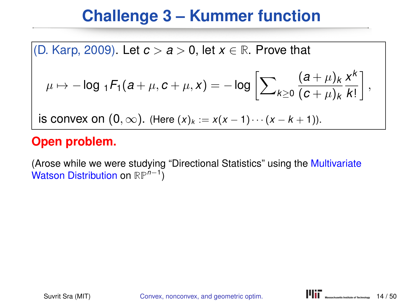# **Challenge 3 – Kummer function**

(D. Karp, 2009). Let  $c > a > 0$ , let  $x \in \mathbb{R}$ . Prove that  $\mu \mapsto -\log {}_1\mathcal{F}_1(a+\mu,c+\mu,x) = -\log \bigg[\sum\nolimits_{k \geq 0}$  $(a + \mu)_k$  $(c + \mu)_k$ *x k k*! , is convex on  $(0, \infty)$ . (Here  $(x)_k := x(x - 1) \cdots (x - k + 1)$ ).

#### **Open problem.**

(Arose while we were studying "Directional Statistics" using the Multivariate Watson Distribution on **RP***<sup>n</sup>*−<sup>1</sup> )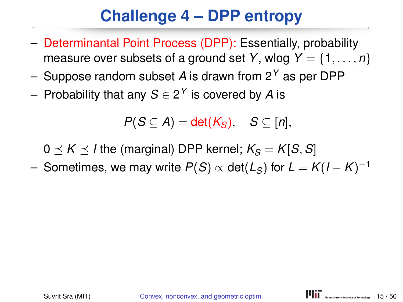# **Challenge 4 – DPP entropy**

- Determinantal Point Process (DPP): Essentially, probability measure over subsets of a ground set *Y*, wlog  $Y = \{1, \ldots, n\}$
- Suppose random subset *A* is drawn from 2*<sup>Y</sup>* as per DPP
- Probability that any *S* ∈ 2 *<sup>Y</sup>* is covered by *A* is

$$
P(S \subseteq A) = \det(K_S), \quad S \subseteq [n],
$$

 $0 \prec K \prec I$  the (marginal) DPP kernel;  $K_S = K[S, S]$ 

 $-$  Sometimes, we may write  $P(S) \propto det(L_S)$  for  $L = K(I - K)^{-1}$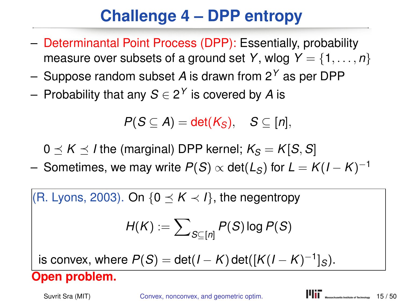# **Challenge 4 – DPP entropy**

- Determinantal Point Process (DPP): Essentially, probability measure over subsets of a ground set *Y*, wlog  $Y = \{1, \ldots, n\}$
- Suppose random subset *A* is drawn from 2*<sup>Y</sup>* as per DPP
- Probability that any *S* ∈ 2 *<sup>Y</sup>* is covered by *A* is

*P*( $S \subseteq A$ ) = det( $K_S$ ),  $S \subseteq [n]$ ,

 $0 \leq K \leq I$  the (marginal) DPP kernel;  $K_S = K[S, S]$ 

 $-$  Sometimes, we may write  $P(S) \propto det(L_S)$  for  $L = K(I - K)^{-1}$ 

 $(R. Lyons, 2003)$ . On  $\{0 \prec K \prec I\}$ , the negentropy

$$
H(K):=\sum\nolimits_{S\subseteq\left[ n\right] }P(S)\log P(S)
$$

 $P(S) = det(I - K) det([K(I - K)^{-1}]_S).$ 

**Open problem.**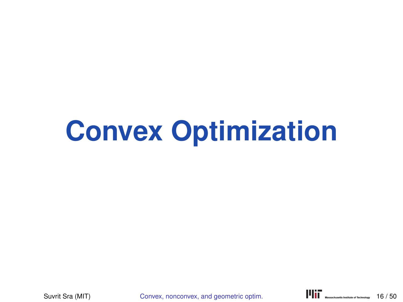# **Convex Optimization**

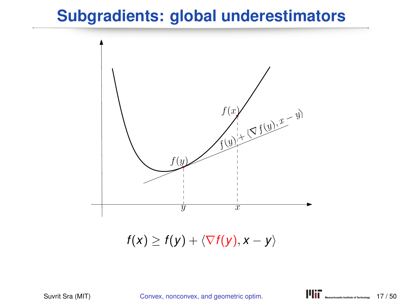## **Subgradients: global underestimators**



 $f(x) \geq f(y) + \langle \nabla f(y), x - y \rangle$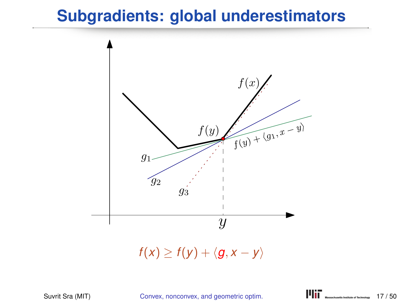## **Subgradients: global underestimators**



 $f(x) \geq f(y) + \langle g, x - y \rangle$ 

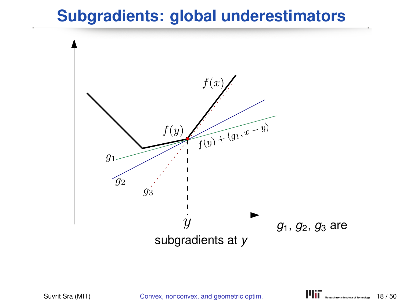## **Subgradients: global underestimators**

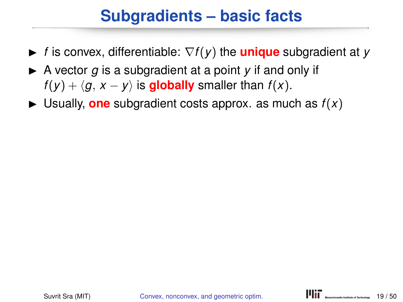# **Subgradients – basic facts**

- <sup>I</sup> *<sup>f</sup>* is convex, differentiable: <sup>∇</sup>*f*(*y*) the **unique** subgradient at *<sup>y</sup>*
- $\triangleright$  A vector *g* is a subgradient at a point *y* if and only if *f*(*y*) +  $\langle q, x - y \rangle$  is **globally** smaller than *f*(*x*).
- $\blacktriangleright$  Usually, **one** subgradient costs approx. as much as  $f(x)$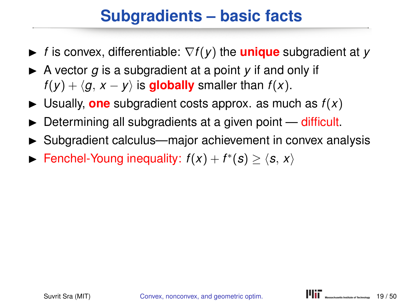# **Subgradients – basic facts**

- <sup>I</sup> *<sup>f</sup>* is convex, differentiable: <sup>∇</sup>*f*(*y*) the **unique** subgradient at *<sup>y</sup>*
- $\triangleright$  A vector *g* is a subgradient at a point *y* if and only if *f*(*y*) +  $\langle q, x - y \rangle$  is **globally** smaller than *f*(*x*).
- $\blacktriangleright$  Usually, **one** subgradient costs approx. as much as  $f(x)$
- $\triangleright$  Determining all subgradients at a given point  $-$  difficult.
- $\triangleright$  Subgradient calculus—major achievement in convex analysis
- ► Fenchel-Young inequality:  $f(x) + f^*(s) \ge \langle s, x \rangle$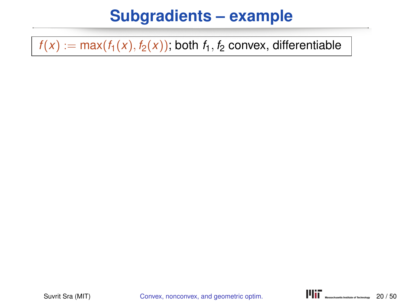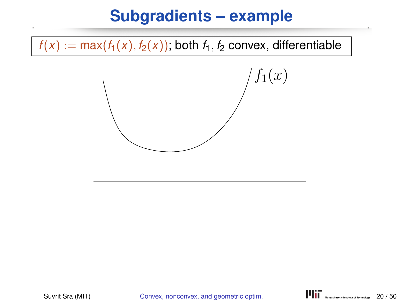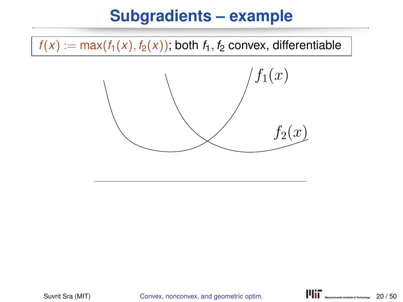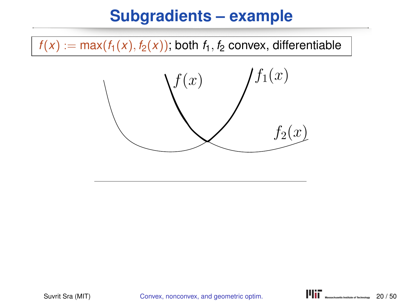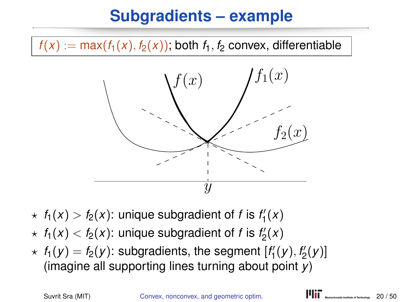$f(x) := \max(f_1(x), f_2(x))$ ; both  $f_1, f_2$  convex, differentiable



- $\star$   $f_1(x) > f_2(x)$ : unique subgradient of *f* is  $f'_1(x)$
- $\star$   $f_1(x) < f_2(x)$ : unique subgradient of *f* is  $f_2'(x)$
- $\star$   $f_1(y) = f_2(y)$ : subgradients, the segment  $[f'_1(y), f'_2(y)]$ (imagine all supporting lines turning about point *y*)

Suvrit Sra (MIT) Convex, nonconvex, and geometric optim. **PIII** MASSES MANUSES 20/50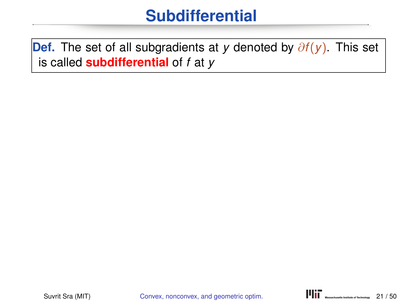**Def.** The set of all subgradients at *y* denoted by ∂*f*(*y*). This set is called **subdifferential** of *f* at *y*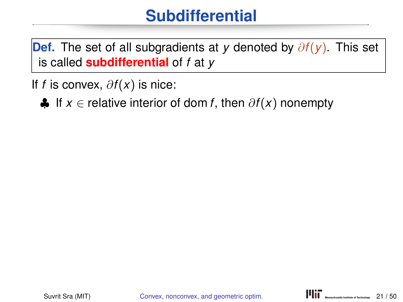**Def.** The set of all subgradients at *y* denoted by ∂*f*(*y*). This set is called **subdifferential** of *f* at *y*

If *f* is convex, ∂*f*(*x*) is nice:

♣ If *x* ∈ relative interior of dom *f*, then ∂*f*(*x*) nonempty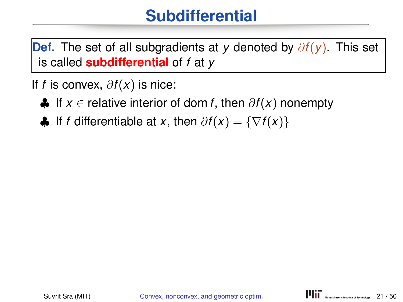**Def.** The set of all subgradients at *y* denoted by ∂*f*(*y*). This set is called **subdifferential** of *f* at *y*

If *f* is convex, ∂*f*(*x*) is nice:

- ♣ If *x* ∈ relative interior of dom *f*, then ∂*f*(*x*) nonempty
- $\bigoplus$  If *f* differentiable at *x*, then  $\partial f(x) = \{\nabla f(x)\}\$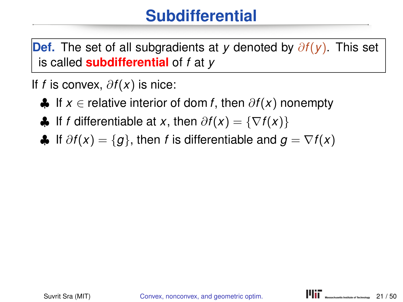**Def.** The set of all subgradients at *y* denoted by ∂*f*(*y*). This set is called **subdifferential** of *f* at *y*

If *f* is convex, ∂*f*(*x*) is nice:

- ♣ If *x* ∈ relative interior of dom *f*, then ∂*f*(*x*) nonempty
- $\bigoplus$  If *f* differentiable at *x*, then  $\partial f(x) = \{\nabla f(x)\}\$
- $\bigoplus$  If  $\partial f(x) = \{g\}$ , then *f* is differentiable and  $g = \nabla f(x)$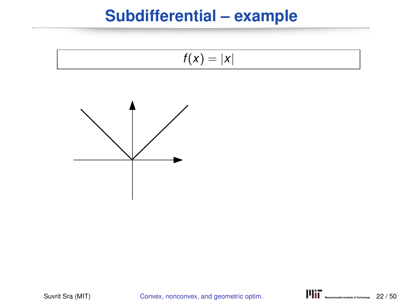### **Subdifferential – example**

$$
f(x)=|x|
$$



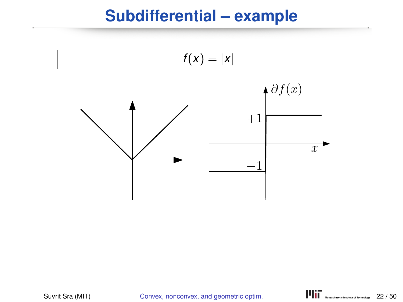#### **Subdifferential – example**

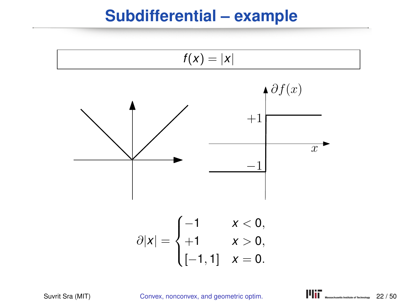#### **Subdifferential – example**

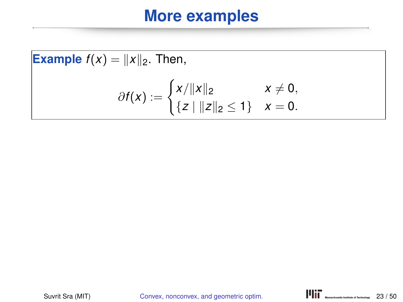Example 
$$
f(x) = ||x||_2
$$
. Then,  
\n
$$
\partial f(x) := \begin{cases} x/||x||_2 & x \neq 0, \\ \{z \mid ||z||_2 \leq 1\} & x = 0. \end{cases}
$$

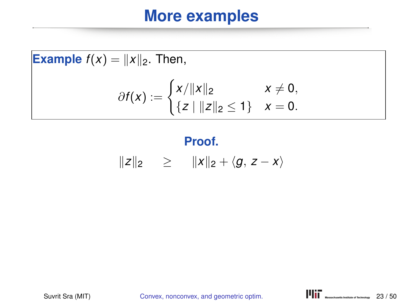**Example** 
$$
f(x) = ||x||_2
$$
. Then,  

$$
\partial f(x) := \begin{cases} x/||x||_2 & x \neq 0, \\ \{z \mid ||z||_2 \leq 1\} & x = 0. \end{cases}
$$

# **Proof.**

$$
||z||_2 \geq ||x||_2 + \langle g, z - x \rangle
$$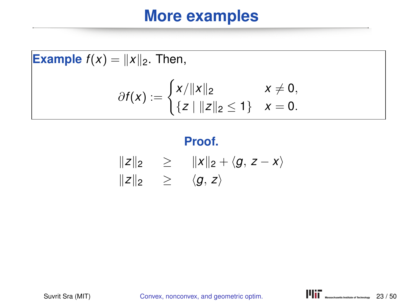**Example** 
$$
f(x) = ||x||_2
$$
. Then,  

$$
\partial f(x) := \begin{cases} x/||x||_2 & x \neq 0, \\ \{z \mid ||z||_2 \leq 1\} & x = 0. \end{cases}
$$

#### **Proof.**

$$
\begin{array}{rcl}\n\|z\|_2 & \geq & \|x\|_2 + \langle g, \, z - x \rangle \\
\|z\|_2 & \geq & \langle g, \, z \rangle\n\end{array}
$$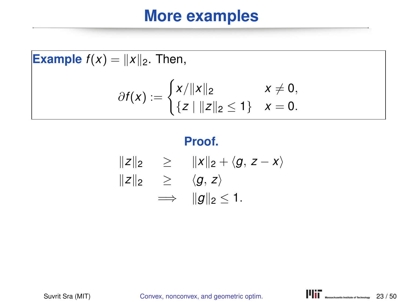**Example**  $f(x) = ||x||_2$ . Then,  $\partial f(x) := \begin{cases} x/||x||_2 & x \neq 0, \\ 0 & x \neq 0, \end{cases}$  $\{z \mid ||z||_2 \leq 1\}$   $x = 0$ .

#### **Proof.**

$$
||z||_2 \ge ||x||_2 + \langle g, z - x \rangle
$$
  
\n
$$
||z||_2 \ge \langle g, z \rangle
$$
  
\n
$$
\implies ||g||_2 \le 1.
$$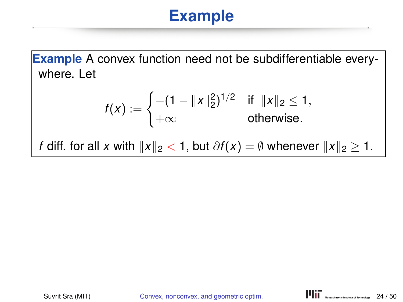**Example** A convex function need not be subdifferentiable everywhere. Let

$$
f(x) := \begin{cases} -(1 - ||x||_2^2)^{1/2} & \text{if } ||x||_2 \leq 1, \\ +\infty & \text{otherwise.} \end{cases}
$$

*f* diff. for all *x* with  $||x||_2 < 1$ , but  $\partial f(x) = \emptyset$  whenever  $||x||_2 \ge 1$ .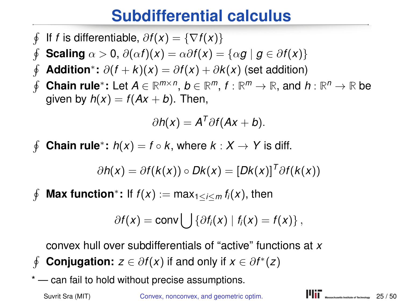## **Subdifferential calculus**

- $\oint$ If *f* is differentiable,  $\partial f(x) = \{\nabla f(x)\}\$
- $\oint$ **Scaling**  $\alpha > 0$ ,  $\partial(\alpha f)(x) = \alpha \partial f(x) = {\alpha g | g \in \partial f(x)}$
- $\oint$ **Addition**<sup>∗</sup>:  $\partial(f + k)(x) = \partial f(x) + \partial k(x)$  (set addition)
- $\oint$ **Chain rule**<sup>∗</sup>: Let  $A \in \mathbb{R}^{m \times n}$ ,  $b \in \mathbb{R}^m$ ,  $f : \mathbb{R}^m \to \mathbb{R}$ , and  $h : \mathbb{R}^n \to \mathbb{R}$  be given by  $h(x) = f(Ax + b)$ . Then,

$$
\partial h(x) = A^T \partial f (Ax + b).
$$

 $\phi$ **Chain rule**<sup>\*</sup>:  $h(x) = f \circ k$ , where  $k: X \to Y$  is diff.

$$
\partial h(x) = \partial f(k(x)) \circ Dk(x) = [Dk(x)]^T \partial f(k(x))
$$

 $\phi$ **Max function**<sup>\*</sup>: If  $f(x) := max_{1 \le i \le m} f_i(x)$ , then

$$
\partial f(x) = \text{conv} \bigcup \{ \partial f_i(x) \mid f_i(x) = f(x) \},
$$

convex hull over subdifferentials of "active" functions at *x*

- $\phi$ **Conjugation:**  $z \in \partial f(x)$  if and only if  $x \in \partial f^*(z)$
- \* can fail to hold without precise assumptions.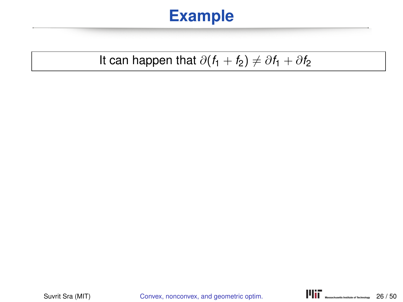#### It can happen that  $\partial(f_1 + f_2) \neq \partial f_1 + \partial f_2$

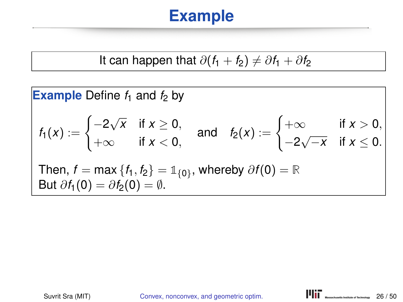It can happen that 
$$
\partial(f_1 + f_2) \neq \partial f_1 + \partial f_2
$$

**Example** Define 
$$
f_1
$$
 and  $f_2$  by  
\n
$$
f_1(x) := \begin{cases}\n-2\sqrt{x} & \text{if } x \ge 0, \\
+\infty & \text{if } x < 0,\n\end{cases} \text{ and } f_2(x) := \begin{cases}\n+\infty & \text{if } x > 0, \\
-2\sqrt{-x} & \text{if } x \le 0.\n\end{cases}
$$
\nThen,  $f = \max\{f_1, f_2\} = \mathbb{1}_{\{0\}}$ , whereby  $\partial f(0) = \mathbb{R}$   
\nBut  $\partial f_1(0) = \partial f_2(0) = \emptyset$ .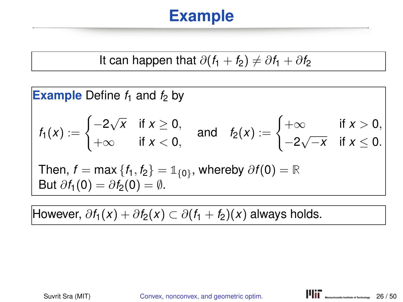It can happen that 
$$
\partial(f_1 + f_2) \neq \partial f_1 + \partial f_2
$$

**Example** Define 
$$
f_1
$$
 and  $f_2$  by  
\n
$$
f_1(x) := \begin{cases}\n-2\sqrt{x} & \text{if } x \ge 0, \\
+\infty & \text{if } x < 0,\n\end{cases} \text{ and } f_2(x) := \begin{cases}\n+\infty & \text{if } x > 0, \\
-2\sqrt{-x} & \text{if } x \le 0.\n\end{cases}
$$
\nThen,  $f = \max\{f_1, f_2\} = \mathbb{1}_{\{0\}}$ , whereby  $\partial f(0) = \mathbb{R}$   
\nBut  $\partial f_1(0) = \partial f_2(0) = \emptyset$ .

However,  $\partial f_1(x) + \partial f_2(x) \subset \partial (f_1 + f_2)(x)$  always holds.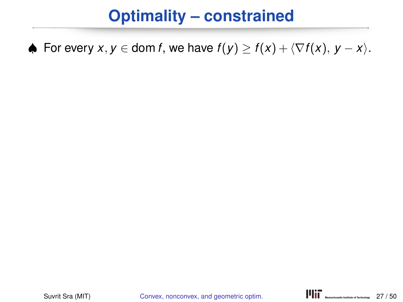# **Optimality – constrained**

♦ For every  $x, y \in \text{dom } f$ , we have  $f(y) \ge f(x) + \langle \nabla f(x), y - x \rangle$ .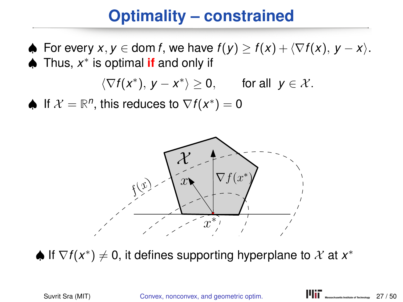# **Optimality – constrained**

 $\blacklozenge$  For every  $x, y \in \text{dom } f$ , we have  $f(y) \geq f(x) + \langle \nabla f(x), y - x \rangle$ . ♠ Thus, *x* ∗ is optimal **if** and only if

$$
\langle \nabla f(x^*), y - x^* \rangle \ge 0, \quad \text{for all } y \in \mathcal{X}.
$$

♦ If  $\mathcal{X} = \mathbb{R}^n$ , this reduces to  $\nabla f(x^*) = 0$ 



 $\spadesuit$  If  $\nabla f(x^*)\neq 0$ , it defines supporting hyperplane to  $\mathcal X$  at  $x^*$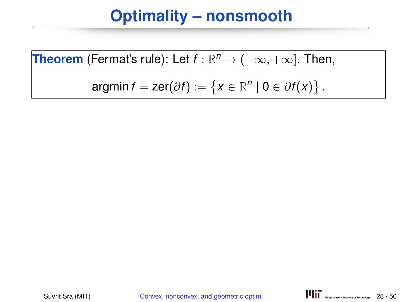**Theorem** (Fermat's rule): Let 
$$
f : \mathbb{R}^n \to (-\infty, +\infty]
$$
. Then,

$$
\text{argmin}\,f=\text{zer}(\partial f):=\left\{x\in\mathbb{R}^n\mid 0\in\partial f(x)\right\}.
$$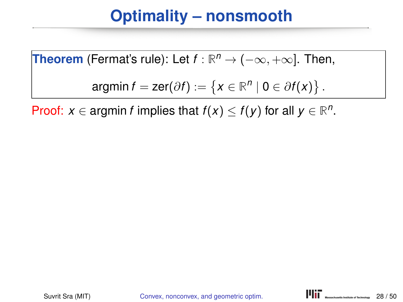**Theorem** (Fermat's rule): Let 
$$
f : \mathbb{R}^n \to (-\infty, +\infty]
$$
. Then,

$$
\text{argmin}\,f=\text{zer}(\partial f):=\left\{x\in\mathbb{R}^n\mid 0\in\partial f(x)\right\}.
$$

Proof:  $x \in \text{argmin } f$  implies that  $f(x) \leq f(y)$  for all  $y \in \mathbb{R}^n$ .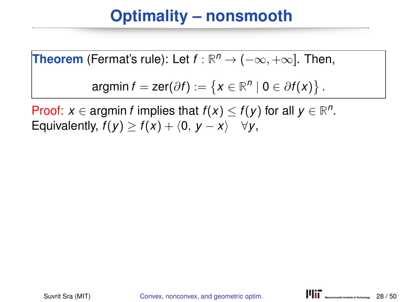**Theorem** (Fermat's rule): Let 
$$
f : \mathbb{R}^n \to (-\infty, +\infty]
$$
. Then,

$$
\text{argmin}\,f=\text{zer}(\partial f):=\left\{x\in\mathbb{R}^n\mid 0\in\partial f(x)\right\}.
$$

Proof: *x* ∈ argmin *f* implies that  $f(x) \le f(y)$  for all  $y \in \mathbb{R}^n$ . Equivalently,  $f(y) \ge f(x) + \langle 0, y - x \rangle \quad \forall y$ ,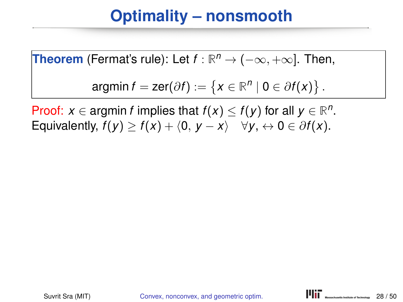**Theorem** (Fermat's rule): Let 
$$
f : \mathbb{R}^n \to (-\infty, +\infty]
$$
. Then,

$$
\text{argmin}\,f=\text{zer}(\partial f):=\left\{x\in\mathbb{R}^n\mid 0\in\partial f(x)\right\}.
$$

Proof: *x* ∈ argmin *f* implies that  $f(x) \le f(y)$  for all  $y \in \mathbb{R}^n$ . Equivalently,  $f(y) \ge f(x) + \langle 0, y - x \rangle \quad \forall y, \leftrightarrow 0 \in \partial f(x)$ .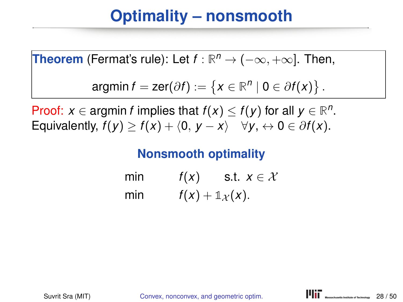**Theorem** (Fermat's rule): Let 
$$
f : \mathbb{R}^n \to (-\infty, +\infty]
$$
. Then,

$$
\text{argmin}\,f=\text{zer}(\partial f):=\left\{x\in\mathbb{R}^n\mid 0\in\partial f(x)\right\}.
$$

Proof: *x* ∈ argmin *f* implies that  $f(x) \le f(y)$  for all  $y \in \mathbb{R}^n$ . Equivalently,  $f(y) > f(x) + \langle 0, y - x \rangle$   $\forall y, \leftrightarrow 0 \in \partial f(x)$ .

#### **Nonsmooth optimality**

min  $f(x)$  s.t.  $x \in \mathcal{X}$ min  $f(x) + \mathbb{1}_X(x)$ .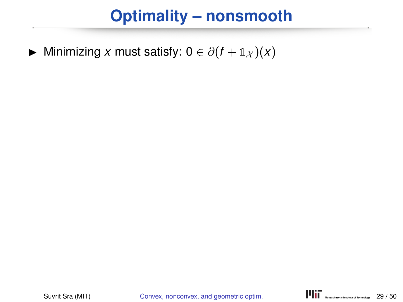$\triangleright$  Minimizing *x* must satisfy: 0 ∈  $\partial(f + \mathbb{1}_X)(x)$ 

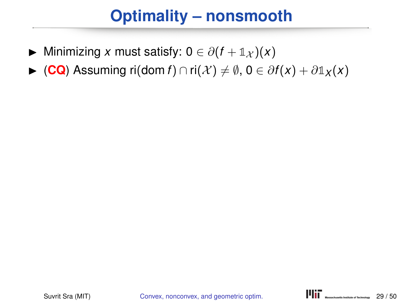- $\triangleright$  Minimizing *x* must satisfy: 0 ∈  $\partial(f + \mathbb{1}_{\mathcal{X}})(x)$
- $\triangleright$  (**CQ**) Assuming ri(dom *f*) ∩ ri(*X*)  $\neq$   $\emptyset$ , 0 ∈  $\partial f(x) + \partial \mathbb{1}_X(x)$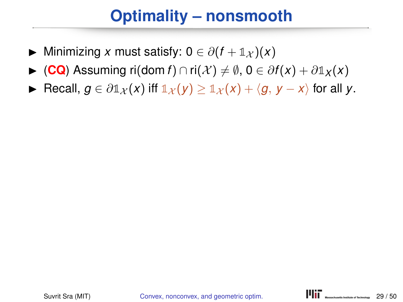- $\triangleright$  Minimizing *x* must satisfy: 0 ∈  $\partial (f + \mathbb{1}_{\mathcal{X}})(x)$
- $\triangleright$  (**CQ**) Assuming ri(dom *f*) ∩ ri(*X*)  $\neq$   $\emptyset$ , 0 ∈  $\partial f(x) + \partial \mathbb{1}_X(x)$
- ► Recall,  $g \in \partial \mathbb{1}_{\mathcal{X}}(x)$  if  $\mathbb{1}_{\mathcal{X}}(y) \geq \mathbb{1}_{\mathcal{X}}(x) + \langle g, y x \rangle$  for all y.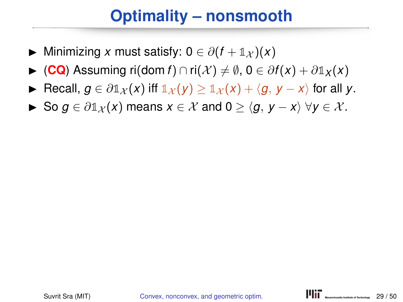- $\triangleright$  Minimizing *x* must satisfy: 0 ∈  $\partial(f + \mathbb{1}_{\mathcal{X}})(x)$
- $\triangleright$  (CQ) Assuming ri(dom *f*) ∩ ri(*X*)  $\neq$   $\emptyset$ , 0  $\in$   $\partial f(x) + \partial \mathbb{1}_X(x)$
- **►** Recall,  $g \in \partial \mathbb{1}_X(x)$  iff  $\mathbb{1}_X(y) > \mathbb{1}_X(x) + \langle g, y x \rangle$  for all y.
- $\triangleright$  So *g* ∈  $\partial \mathbb{1}_X(x)$  means  $x \in \mathcal{X}$  and  $0 > \langle q, y x \rangle \ \forall y \in \mathcal{X}$ .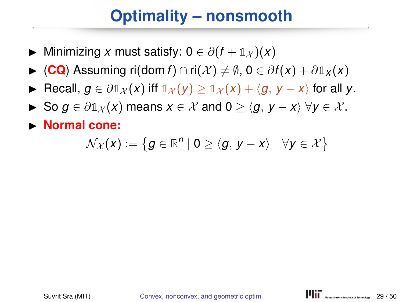- $\triangleright$  Minimizing *x* must satisfy: 0 ∈  $\partial (f + \mathbb{1}_{\mathcal{X}})(x)$
- $\triangleright$  (CQ) Assuming ri(dom *f*) ∩ ri(*X*)  $\neq$   $\emptyset$ , 0  $\in$   $\partial f(x) + \partial \mathbb{1}_X(x)$
- **►** Recall,  $g \in \partial \mathbb{1}_X(x)$  iff  $\mathbb{1}_X(y) > \mathbb{1}_X(x) + \langle g, y x \rangle$  for all y.
- $\triangleright$  So *g* ∈  $\partial \mathbb{1}_X(x)$  means  $x \in \mathcal{X}$  and  $0 > \langle q, y x \rangle \ \forall y \in \mathcal{X}$ .
- **Normal cone:**

$$
\mathcal{N}_{\mathcal{X}}(x) := \left\{ g \in \mathbb{R}^n \mid 0 \geq \langle g, \, y - x \rangle \quad \forall y \in \mathcal{X} \right\}
$$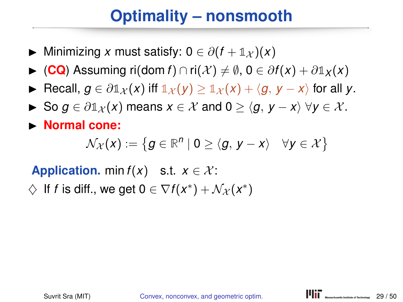- $\triangleright$  Minimizing *x* must satisfy: 0 ∈  $\partial (f + \mathbb{1}_{\mathcal{X}})(x)$
- $\triangleright$  (**CQ**) Assuming ri(dom *f*) ∩ ri(*X*)  $\neq$   $\emptyset$ , 0  $\in$   $\partial f(x) + \partial \mathbb{1}_X(x)$
- **►** Recall,  $q \in \partial \mathbb{1}_X(x)$  iff  $\mathbb{1}_X(y) > \mathbb{1}_X(x) + \langle q, y x \rangle$  for all y.
- $\triangleright$  So *g* ∈  $\partial \mathbb{1}_X(x)$  means  $x \in \mathcal{X}$  and  $0 > \langle g, y x \rangle$   $\forall y \in \mathcal{X}$ .
- **Normal cone:**

$$
\mathcal{N}_{\mathcal{X}}(x) := \left\{ g \in \mathbb{R}^n \mid 0 \geq \langle g, \, y - x \rangle \quad \forall y \in \mathcal{X} \right\}
$$

**Application.** min  $f(x)$  s.t.  $x \in \mathcal{X}$ :

 $\diamondsuit$  If *f* is diff., we get  $0 \in \nabla f(x^*) + \mathcal{N}_{\mathcal{X}}(x^*)$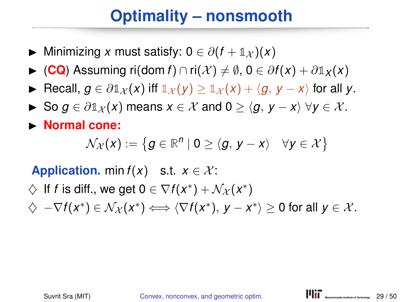- $\triangleright$  Minimizing *x* must satisfy: 0 ∈  $\partial (f + \mathbb{1}_{\mathcal{X}})(x)$
- $\triangleright$  (**CQ**) Assuming ri(dom *f*) ∩ ri(*X*)  $\neq$   $\emptyset$ , 0 ∈  $\partial f(x) + \partial \mathbb{1}_X(x)$
- **►** Recall,  $q \in \partial \mathbb{1}_X(x)$  iff  $\mathbb{1}_X(y) > \mathbb{1}_X(x) + \langle q, y x \rangle$  for all y.
- $\triangleright$  So *g* ∈  $\partial \mathbb{1}_X(x)$  means  $x \in \mathcal{X}$  and  $0 > \langle g, y x \rangle$   $\forall y \in \mathcal{X}$ .
- **Normal cone:**

$$
\mathcal{N}_{\mathcal{X}}(x) := \left\{ g \in \mathbb{R}^n \mid 0 \geq \langle g, \, y - x \rangle \quad \forall y \in \mathcal{X} \right\}
$$

**Application.** min  $f(x)$  s.t.  $x \in \mathcal{X}$ :

- $\diamondsuit$  If *f* is diff., we get  $0 \in \nabla f(x^*) + \mathcal{N}_{\mathcal{X}}(x^*)$
- $\diamondsuit \nabla f(x^*) \in \mathcal{N}_{\mathcal{X}}(x^*) \Longleftrightarrow \langle \nabla f(x^*), y x^* \rangle \geq 0$  for all  $y \in \mathcal{X}$ .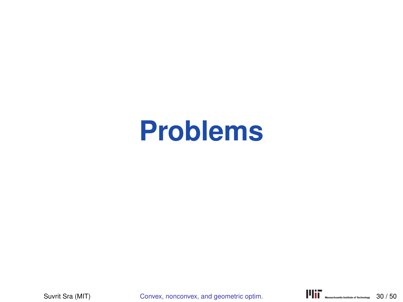# **Problems**

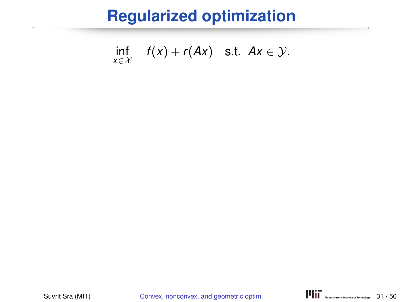$$
\inf_{x \in \mathcal{X}} f(x) + r(Ax) \quad \text{s.t.} \quad Ax \in \mathcal{Y}.
$$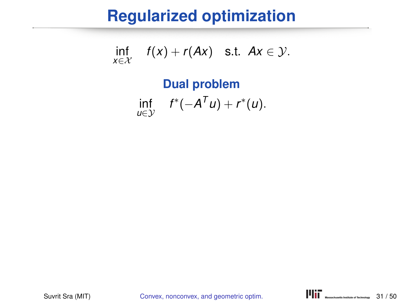$$
\inf_{x \in \mathcal{X}} f(x) + r(Ax) \quad \text{s.t.} \quad Ax \in \mathcal{Y}.
$$

#### **Dual problem** inf *u*∈Y  $f^*(-A^T u) + r^*(u).$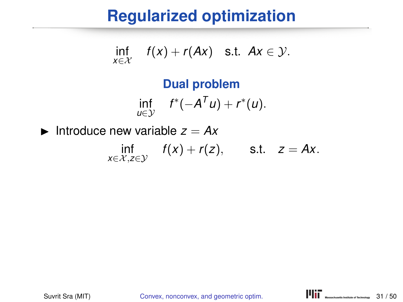$$
\inf_{x \in \mathcal{X}} f(x) + r(Ax) \quad \text{s.t.} \quad Ax \in \mathcal{Y}.
$$

#### **Dual problem** inf *u*∈Y  $f^*(-A^T u) + r^*(u).$

Introduce new variable  $z = Ax$ inf *x*∈X,*z*∈Y  $f(x) + r(z)$ , s.t.  $z = Ax$ .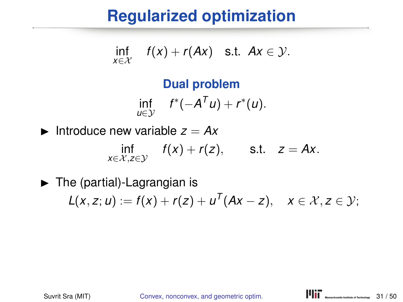$$
\inf_{x \in \mathcal{X}} f(x) + r(Ax) \quad \text{s.t.} \quad Ax \in \mathcal{Y}.
$$

#### **Dual problem**  $\inf_{u \in \mathcal{V}} f^*(-A^T u) + r^*(u).$  $u∈v$

Introduce new variable  $z = Ax$ inf *x*∈X,*z*∈Y  $f(x) + r(z)$ , s.t.  $z = Ax$ .

 $\blacktriangleright$  The (partial)-Lagrangian is  $L(x, z; u) := f(x) + r(z) + u^{T}(Ax - z), \quad x \in \mathcal{X}, z \in \mathcal{Y};$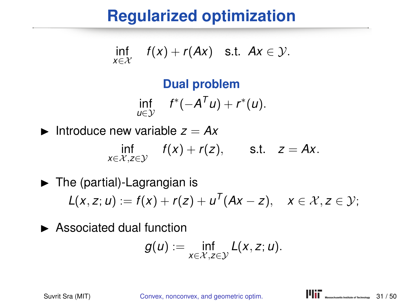$$
\inf_{x\in\mathcal{X}} f(x) + r(Ax) \quad \text{s.t.} \quad Ax \in \mathcal{Y}.
$$

#### **Dual problem**  $\inf_{u \in \mathcal{V}} f^*(-A^T u) + r^*(u).$ *u*∈Y

Introduce new variable  $z = Ax$ inf *x*∈X,*z*∈Y  $f(x) + r(z)$ , s.t.  $z = Ax$ .

 $\blacktriangleright$  The (partial)-Lagrangian is  $L(x, z; u) := f(x) + r(z) + u^{T}(Ax - z), \quad x \in \mathcal{X}, z \in \mathcal{Y};$ 

 $\blacktriangleright$  Associated dual function

$$
g(u):=\inf_{x\in\mathcal{X},z\in\mathcal{Y}}L(x,z;u).
$$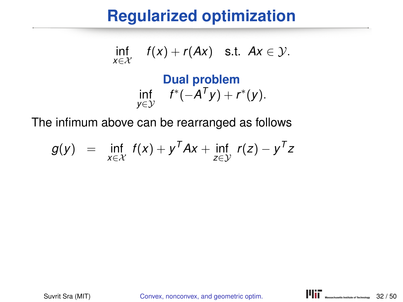$$
\inf_{x \in \mathcal{X}} f(x) + r(Ax) \quad \text{s.t.} \quad Ax \in \mathcal{Y}.
$$

#### **Dual problem** inf *y*∈Y  $f^*(-A^Ty) + r^*(y).$

The infimum above can be rearranged as follows

$$
g(y) = \inf_{x \in \mathcal{X}} f(x) + y^T A x + \inf_{z \in \mathcal{Y}} r(z) - y^T z
$$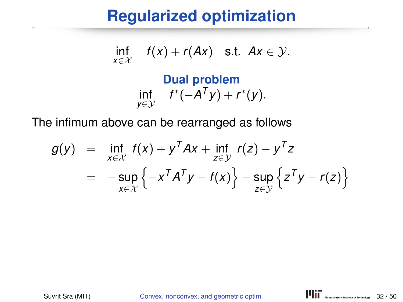$$
\inf_{x\in\mathcal{X}} f(x) + r(Ax) \quad \text{s.t.} \quad Ax \in \mathcal{Y}.
$$

#### **Dual problem** inf *y*∈Y  $f^*(-A^Ty) + r^*(y).$

The infimum above can be rearranged as follows

$$
g(y) = \inf_{x \in \mathcal{X}} f(x) + y^T A x + \inf_{z \in \mathcal{Y}} r(z) - y^T z
$$
  
= 
$$
-\sup_{x \in \mathcal{X}} \left\{-x^T A^T y - f(x)\right\} - \sup_{z \in \mathcal{Y}} \left\{z^T y - r(z)\right\}
$$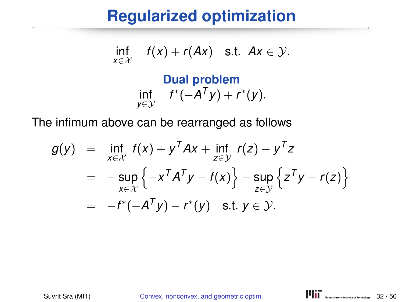$$
\inf_{x\in\mathcal{X}} f(x) + r(Ax) \quad \text{s.t.} \quad Ax \in \mathcal{Y}.
$$

#### **Dual problem** inf *y*∈Y  $f^*(-A^Ty) + r^*(y).$

The infimum above can be rearranged as follows

$$
g(y) = \inf_{x \in \mathcal{X}} f(x) + y^T A x + \inf_{z \in \mathcal{Y}} r(z) - y^T z
$$
  
= 
$$
-\sup_{x \in \mathcal{X}} \left\{-x^T A^T y - f(x)\right\} - \sup_{z \in \mathcal{Y}} \left\{z^T y - r(z)\right\}
$$
  
= 
$$
-f^*(-A^T y) - r^*(y) \text{ s.t. } y \in \mathcal{Y}.
$$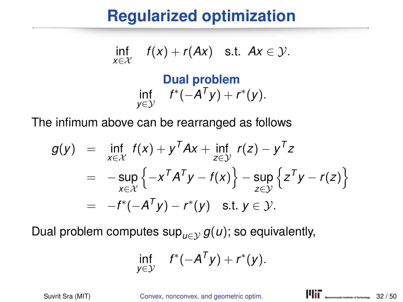$$
\inf_{x\in\mathcal{X}} f(x) + r(Ax) \quad \text{s.t. } Ax \in \mathcal{Y}.
$$

#### **Dual problem** inf *y*∈Y  $f^*(-A^Ty) + r^*(y).$

The infimum above can be rearranged as follows

$$
g(y) = \inf_{x \in \mathcal{X}} f(x) + y^T A x + \inf_{z \in \mathcal{Y}} r(z) - y^T z
$$
  
= 
$$
-\sup_{x \in \mathcal{X}} \left\{-x^T A^T y - f(x)\right\} - \sup_{z \in \mathcal{Y}} \left\{z^T y - r(z)\right\}
$$
  
= 
$$
-f^*(-A^T y) - r^*(y) \text{ s.t. } y \in \mathcal{Y}.
$$

Dual problem computes  $\sup_{u \in \mathcal{V}} g(u)$ ; so equivalently,

$$
\inf_{y\in\mathcal{Y}} f^*(-A^Ty)+r^*(y).
$$

Suvrit Sra (MIT) Convex, nonconvex, and geometric optim. **I'lli C** Wasser Washington Technology 32/50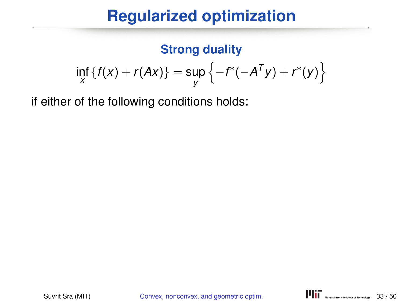#### **Strong duality**

$$
\inf_{x} \{f(x) + r(Ax)\} = \sup_{y} \{-f^*(-A^{T}y) + r^*(y)\}
$$

if either of the following conditions holds: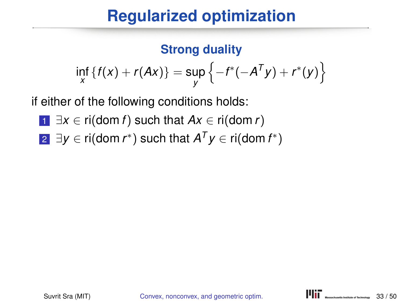# **Regularized optimization**

#### **Strong duality**

$$
\inf_{X} \{f(x) + r(Ax)\} = \sup_{y} \{-f^*(-A^{T}y) + r^*(y)\}
$$

if either of the following conditions holds:

- <sup>1</sup> ∃*x* ∈ ri(dom *f*) such that *Ax* ∈ ri(dom *r*)
- 2 ∃*y* ∈ ri(dom *r*\*) such that  $A^Ty$  ∈ ri(dom *f*\*)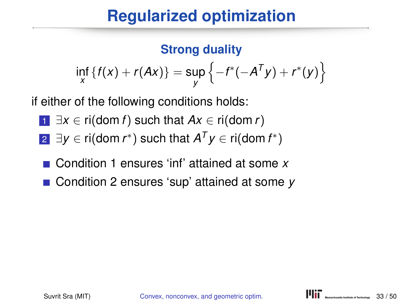# **Regularized optimization**

#### **Strong duality**

$$
\inf_{X} \{f(x) + r(Ax)\} = \sup_{y} \{-f^*(-A^{T}y) + r^*(y)\}
$$

if either of the following conditions holds:

- $\exists x \in \text{ri}(\text{dom } f) \text{ such that } Ax \in \text{ri}(\text{dom } r)$
- 2 ∃*y* ∈ ri(dom *r*\*) such that  $A^Ty$  ∈ ri(dom *f*\*)
- Condition 1 ensures 'inf' attained at some *x*
- Condition 2 ensures 'sup' attained at some *y*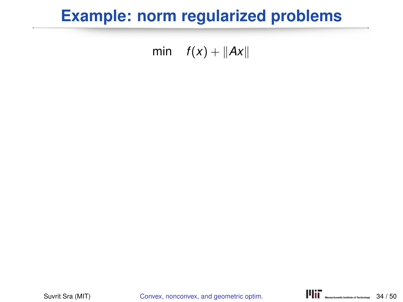# **Example: norm regularized problems**

#### min  $f(x) + ||Ax||$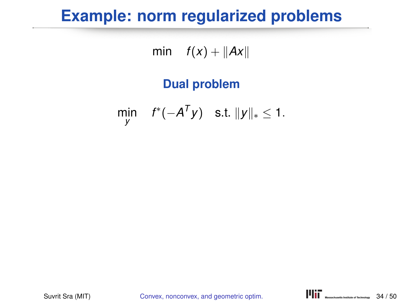# **Example: norm regularized problems**

min  $f(x) + ||Ax||$ 

#### **Dual problem**

$$
\min_{y} \quad f^*(-A^Ty) \quad \text{s.t. } \|y\|_* \leq 1.
$$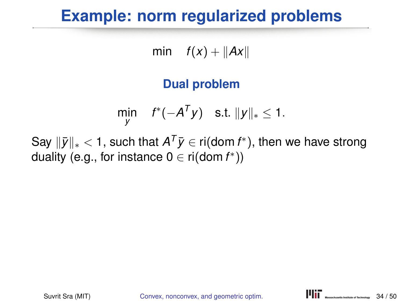# **Example: norm regularized problems**

min  $f(x) + ||Ax||$ 

#### **Dual problem**

$$
\min_{y} \quad f^*(-A^Ty) \quad \text{s.t. } \|y\|_* \leq 1.
$$

Say  $\|\bar{y}\|_* < 1$ , such that  $A^T\bar{y} \in \text{ri}(\text{dom } f^*)$ , then we have strong duality (e.g., for instance  $0 \in \mathsf{ri}(\mathsf{dom}\, f^*)$ )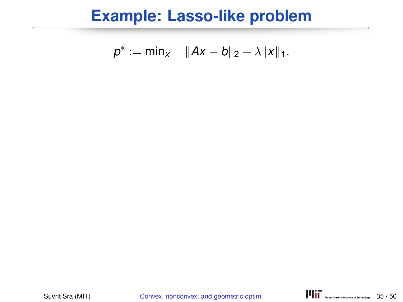$$
p^* := \min_{x} \quad \|Ax - b\|_2 + \lambda \|x\|_1.
$$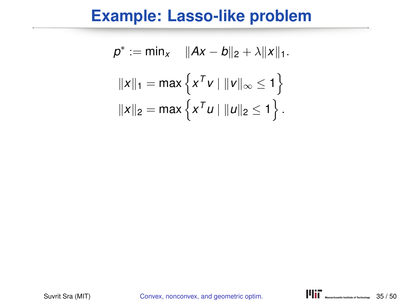$$
p^* := \min_X \quad ||Ax - b||_2 + \lambda ||x||_1.
$$

$$
||x||_1 = \max \{ x^T v \mid ||v||_{\infty} \le 1 \}
$$

$$
||x||_2 = \max \{ x^T u \mid ||u||_2 \le 1 \}.
$$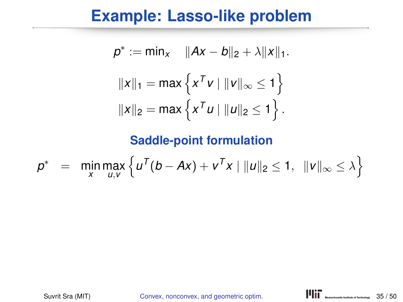$$
p^* := \min_{x} \quad ||Ax - b||_2 + \lambda ||x||_1.
$$

$$
||x||_1 = \max \{ x^T v \mid ||v||_{\infty} \le 1 \}
$$

$$
||x||_2 = \max \{ x^T u \mid ||u||_2 \le 1 \}.
$$

$$
p^* = \min_{x} \max_{u,v} \left\{ u^T(b - Ax) + v^T x \mid ||u||_2 \le 1, ||v||_{\infty} \le \lambda \right\}
$$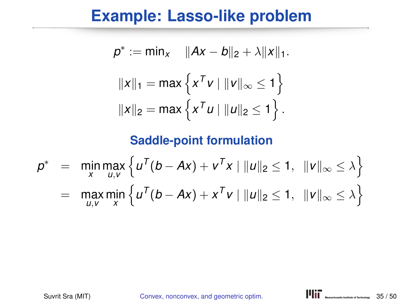$$
p^* := \min_{x} \quad ||Ax - b||_2 + \lambda ||x||_1.
$$

$$
||x||_1 = \max \{ x^T v \mid ||v||_{\infty} \le 1 \}
$$

$$
||x||_2 = \max \{ x^T u \mid ||u||_2 \le 1 \}.
$$

$$
p^* = \min_{x} \max_{u,v} \left\{ u^T(b - Ax) + v^T x \mid ||u||_2 \le 1, ||v||_{\infty} \le \lambda \right\}
$$
  
= 
$$
\max_{u,v} \min_{x} \left\{ u^T(b - Ax) + x^T v \mid ||u||_2 \le 1, ||v||_{\infty} \le \lambda \right\}
$$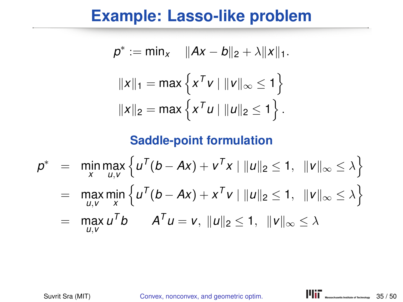$$
p^* := \min_X \quad ||Ax - b||_2 + \lambda ||x||_1.
$$

$$
||x||_1 = \max \{ x^T v \mid ||v||_{\infty} \le 1 \}
$$

$$
||x||_2 = \max \{ x^T u \mid ||u||_2 \le 1 \}.
$$

$$
p^* = \min_{x} \max_{u,v} \left\{ u^T(b - Ax) + v^T x \mid ||u||_2 \le 1, ||v||_{\infty} \le \lambda \right\}
$$
  
= 
$$
\max_{u,v} \min_{x} \left\{ u^T(b - Ax) + x^T v \mid ||u||_2 \le 1, ||v||_{\infty} \le \lambda \right\}
$$

$$
= \max_{u,v} u^T b \qquad A^T u = v, \ \|u\|_2 \leq 1, \ \|v\|_{\infty} \leq \lambda
$$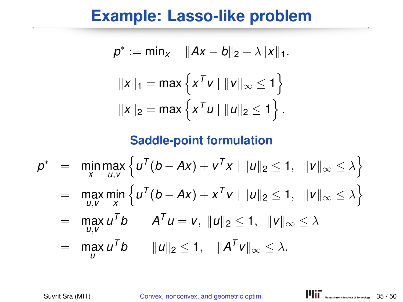$$
p^* := \min_X \quad ||Ax - b||_2 + \lambda ||x||_1.
$$

$$
||x||_1 = \max \{ x^T v \mid ||v||_{\infty} \le 1 \}
$$

$$
||x||_2 = \max \{ x^T u \mid ||u||_2 \le 1 \}.
$$

$$
p^* = \min_{x} \max_{u,v} \left\{ u^T(b - Ax) + v^T x \mid ||u||_2 \le 1, ||v||_{\infty} \le \lambda \right\}
$$
  
=  $\max_{u,v} \min_{x} \left\{ u^T(b - Ax) + x^T v \mid ||u||_2 \le 1, ||v||_{\infty} \le \lambda \right\}$   
=  $\max_{u,v} u^T b$   $A^T u = v$ ,  $||u||_2 \le 1$ ,  $||v||_{\infty} \le \lambda$   
=  $\max_{u,v} u^T b$   $||u||_2 \le 1$ ,  $||A^T v||_{\infty} \le \lambda$ .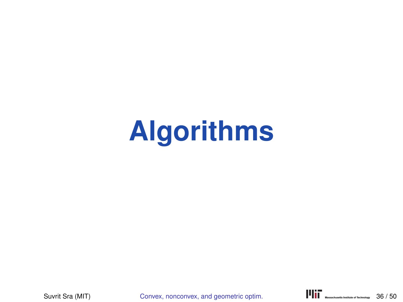# **Algorithms**

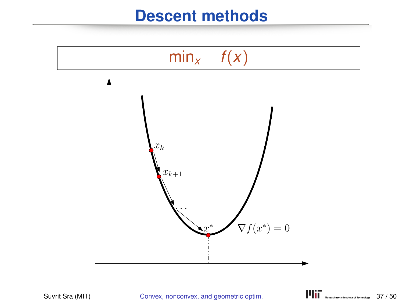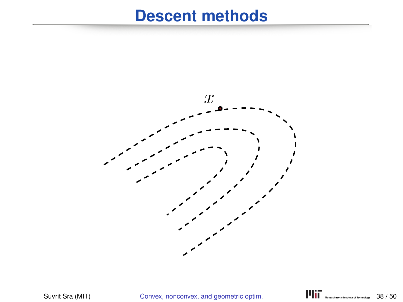

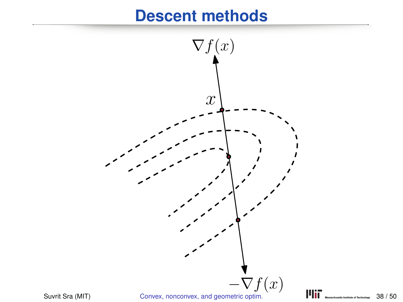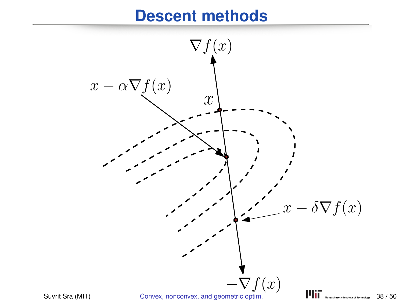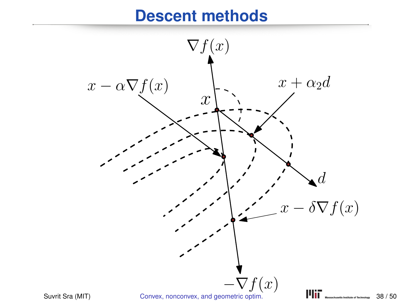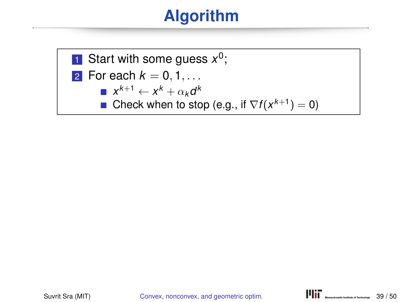# **Algorithm**



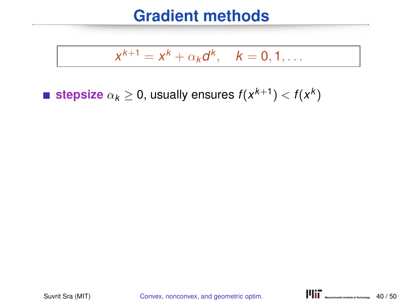## **Gradient methods**

$$
x^{k+1}=x^k+\alpha_k d^k, \quad k=0,1,\ldots
$$

**stepsize**  $\alpha_k \geq 0$ , usually ensures  $f(x^{k+1}) < f(x^k)$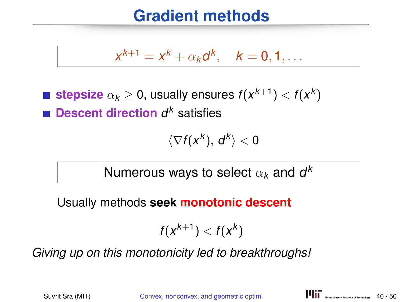# **Gradient methods**

$$
x^{k+1} = x^k + \alpha_k d^k, \quad k = 0, 1, \ldots
$$

**stepsize**  $\alpha_k \geq 0$ , usually ensures  $f(x^{k+1}) < f(x^k)$ **Descent direction** *d <sup>k</sup>* satisfies

$$
\langle \nabla f(x^k),\,d^k\rangle<0
$$

Numerous ways to select  $\alpha_{\pmb{k}}$  and  $\pmb{d}^{\pmb{k}}$ 

Usually methods **seek monotonic descent**

$$
f(x^{k+1}) < f(x^k)
$$

*Giving up on this monotonicity led to breakthroughs!*

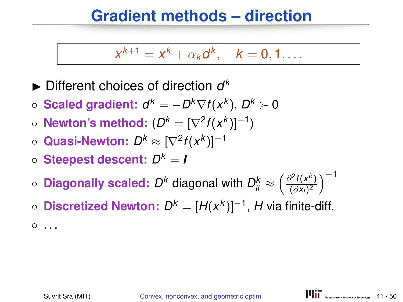## **Gradient methods – direction**

$$
x^{k+1}=x^k+\alpha_k d^k, \quad k=0,1,\ldots
$$

 $\blacktriangleright$  Different choices of direction  $d^k$ 

- **Scaled gradient:**  $d^k = -D^k \nabla f(x^k)$ ,  $D^k ≻ 0$
- **Newton's method:**  $(D^k = [\nabla^2 f(x^k)]^{-1})$
- Quasi-Newton:  $D^k ≈ [\nabla^2 f(x^k)]^{-1}$
- **Steepest descent:** *D <sup>k</sup>* = *I*
- $\circ$  Diagonally scaled:  $D^k$  diagonal with  $D^k_{ii} \approx \left(\frac{\partial^2 f(x^k)}{(\partial x_i)^2}\right)$  $\frac{\partial^2 f(x^k)}{(\partial x_i)^2}$ )<sup>-1</sup>
- **Discretized Newton:**  $D^k = [H(x^k)]^{-1}$ , H via finite-diff.  $^{\circ}$  ...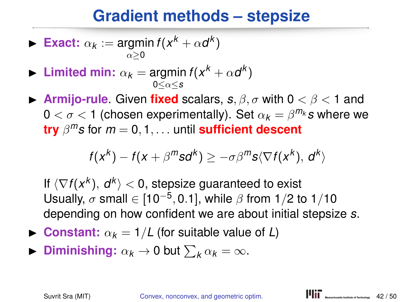# **Gradient methods – stepsize**

**Exact:** 
$$
\alpha_k := \operatorname*{argmin}_{\alpha \geq 0} f(x^k + \alpha d^k)
$$

- **I** Limited min:  $\alpha_k = \text{argmin } f(x^k + \alpha d^k)$ 0≤α≤*s*
- **Armijo-rule.** Given **fixed** scalars,  $s, \beta, \sigma$  with  $0 < \beta < 1$  and  $0 < \sigma < 1$  (chosen experimentally). Set  $\alpha_k = \beta^{m_k} s$  where we **try** β *<sup>m</sup>s* for *m* = 0, 1, . . . until **sufficient descent**

$$
f(x^{k}) - f(x + \beta^{m} s d^{k}) \geq -\sigma \beta^{m} s \langle \nabla f(x^{k}), d^{k} \rangle
$$

If  $\langle \nabla f(x^k), d^k \rangle < 0$ , stepsize guaranteed to exist Usually,  $\sigma$  small  $\in [10^{-5}, 0.1]$ , while  $\beta$  from 1/2 to 1/10 depending on how confident we are about initial stepsize *s*.

- **Constant:**  $\alpha_k = 1/L$  (for suitable value of *L*)
- **Diminishing:**  $\alpha_k \to 0$  but  $\sum_k \alpha_k = \infty$ .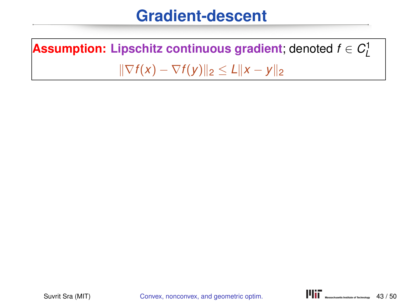## **Gradient-descent**

 $\boldsymbol{\mathsf{Assumption:}}$  Lipschitz continuous gradient; denoted  $f \in C^1_L$  $\|\nabla f(x) - \nabla f(y)\|_2 \le L \|x - y\|_2$ 

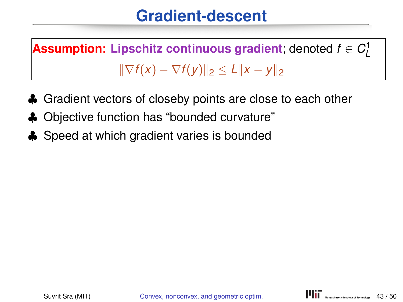# **Gradient-descent**

 $\boldsymbol{\mathsf{Assumption:}}$  Lipschitz continuous gradient; denoted  $f \in C^1_L$  $\|\nabla f(x) - \nabla f(y)\|_2 \le L \|x - y\|_2$ 

- ♣ Gradient vectors of closeby points are close to each other
- ♣ Objective function has "bounded curvature"
- ♣ Speed at which gradient varies is bounded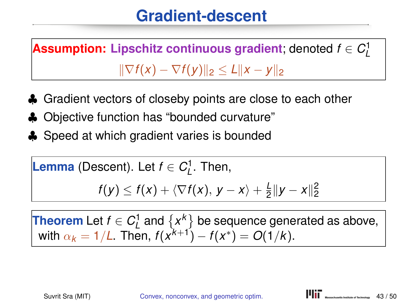# **Gradient-descent**

 $\boldsymbol{\mathsf{Assumption:}}$  Lipschitz continuous gradient; denoted  $f \in C^1_L$  $\|\nabla f(x) - \nabla f(y)\|_2 \le L \|x - y\|_2$ 

- ♣ Gradient vectors of closeby points are close to each other
- ♣ Objective function has "bounded curvature"
- ♣ Speed at which gradient varies is bounded

**Lemma** (Descent). Let 
$$
f \in C_L^1
$$
. Then,

$$
f(y) \leq f(x) + \langle \nabla f(x), y - x \rangle + \frac{L}{2} ||y - x||_2^2
$$

**Theorem** Let  $f \in C^1_L$  and  $\{x^k\}$  be sequence generated as above, with  $\alpha_k = 1/L$ . Then,  $f(x^{k+1}) - f(x^*) = O(1/k)$ .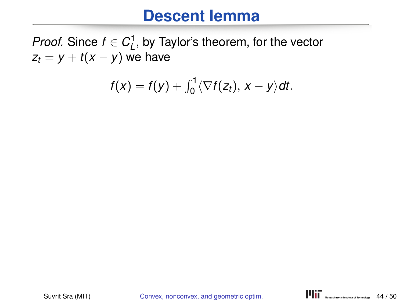#### **Descent lemma**

*Proof.* Since  $f \in C^1_L$ , by Taylor's theorem, for the vector  $z_t = y + t(x - y)$  we have

$$
f(x) = f(y) + \int_0^1 \langle \nabla f(z_t), x - y \rangle dt.
$$

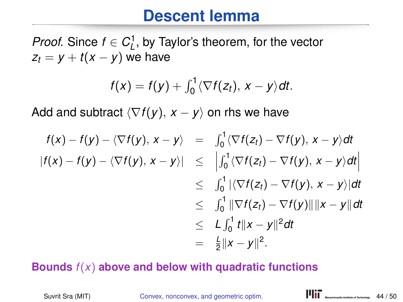## **Descent lemma**

*Proof.* Since  $f \in C^1_L$ , by Taylor's theorem, for the vector  $z_t = v + t(x - v)$  we have

$$
f(x) = f(y) + \int_0^1 \langle \nabla f(z_t), x - y \rangle dt.
$$

Add and subtract  $\langle \nabla f(y), x - y \rangle$  on rhs we have

$$
f(x) - f(y) - \langle \nabla f(y), x - y \rangle = \int_0^1 \langle \nabla f(z_t) - \nabla f(y), x - y \rangle dt
$$
  
\n
$$
|f(x) - f(y) - \langle \nabla f(y), x - y \rangle| \leq \left| \int_0^1 \langle \nabla f(z_t) - \nabla f(y), x - y \rangle dt \right|
$$
  
\n
$$
\leq \int_0^1 |\langle \nabla f(z_t) - \nabla f(y), x - y \rangle| dt
$$
  
\n
$$
\leq \int_0^1 \|\nabla f(z_t) - \nabla f(y)\| \|x - y\| dt
$$
  
\n
$$
\leq L \int_0^1 t \|x - y\|^2 dt
$$
  
\n
$$
= \frac{L}{2} \|x - y\|^2.
$$

#### **Bounds** *f*(*x*) **above and below with quadratic functions**

Suvrit Sra (MIT) Convex, nonconvex, and geometric optim. **ITIT** WENNIGHT WENNIGHTER MOVEMENT CONTRACTIVE ON THE **CONTRACTION**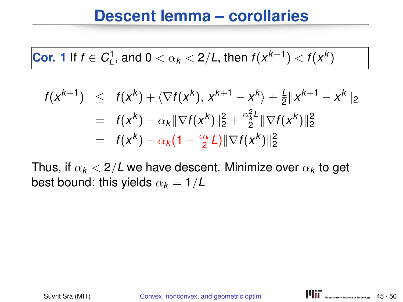#### **Descent lemma – corollaries**

**Cor.** 1 If 
$$
f \in C_L^1
$$
, and  $0 < \alpha_k < 2/L$ , then  $f(x^{k+1}) < f(x^k)$ 

$$
f(x^{k+1}) \leq f(x^{k}) + \langle \nabla f(x^{k}), x^{k+1} - x^{k} \rangle + \frac{1}{2} ||x^{k+1} - x^{k}||_{2}
$$
  
=  $f(x^{k}) - \alpha_{k} ||\nabla f(x^{k})||_{2}^{2} + \frac{\alpha_{k}^{2} L}{2} ||\nabla f(x^{k})||_{2}^{2}$   
=  $f(x^{k}) - \alpha_{k} (1 - \frac{\alpha_{k}}{2} L) ||\nabla f(x^{k})||_{2}^{2}$ 

Thus, if  $\alpha_{\bm k} <$  2/*L* we have descent. Minimize over  $\alpha_{\bm k}$  to get best bound: this yields  $\alpha_k = 1/L$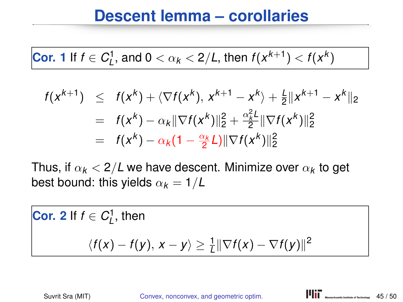#### **Descent lemma – corollaries**

**Cor.** 1 If 
$$
f \in C_L^1
$$
, and  $0 < \alpha_k < 2/L$ , then  $f(x^{k+1}) < f(x^k)$ 

$$
f(x^{k+1}) \leq f(x^{k}) + \langle \nabla f(x^{k}), x^{k+1} - x^{k} \rangle + \frac{1}{2} ||x^{k+1} - x^{k}||_{2}
$$
  
=  $f(x^{k}) - \alpha_{k} ||\nabla f(x^{k})||_{2}^{2} + \frac{\alpha_{k}^{2} L}{2} ||\nabla f(x^{k})||_{2}^{2}$   
=  $f(x^{k}) - \alpha_{k} (1 - \frac{\alpha_{k}}{2} L) ||\nabla f(x^{k})||_{2}^{2}$ 

Thus, if  $\alpha_{\bm k} <$  2/*L* we have descent. Minimize over  $\alpha_{\bm k}$  to get best bound: this yields  $\alpha_k = 1/L$ 

**Cor.** 2 If 
$$
f \in C_L^1
$$
, then  
\n
$$
\langle f(x) - f(y), x - y \rangle \ge \frac{1}{L} ||\nabla f(x) - \nabla f(y)||^2
$$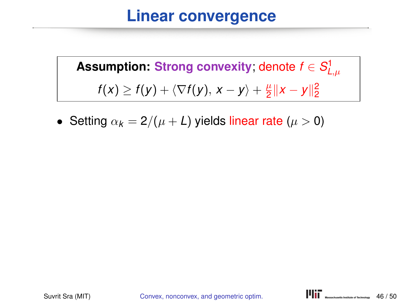# **Linear convergence**

 ${\sf Assumption: \: Strong \: convexity;}$  denote  $f \in S^1_{L,\mu}$  $f(x) \ge f(y) + \langle \nabla f(y), x - y \rangle + \frac{\mu}{2}$  $\frac{\mu}{2}$ ||x − y|| $\frac{2}{2}$ 

• Setting  $\alpha_k = 2/(\mu + L)$  yields linear rate ( $\mu > 0$ )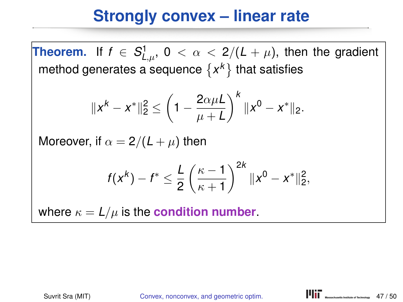# **Strongly convex – linear rate**

**Theorem.** If  $f \in S^1_{L,\mu}$ ,  $0 < \alpha < 2/(L + \mu)$ , then the gradient method generates a sequence  $\{x^k\}$  that satisfies

$$
||x^k - x^*||_2^2 \le \left(1 - \frac{2\alpha\mu L}{\mu + L}\right)^k ||x^0 - x^*||_2.
$$

Moreover, if  $\alpha = 2/(L + \mu)$  then

$$
f(x^k) - f^* \leq \frac{L}{2} \left( \frac{\kappa - 1}{\kappa + 1} \right)^{2k} \|x^0 - x^*\|_2^2,
$$

where  $\kappa = L/\mu$  is the **condition number**.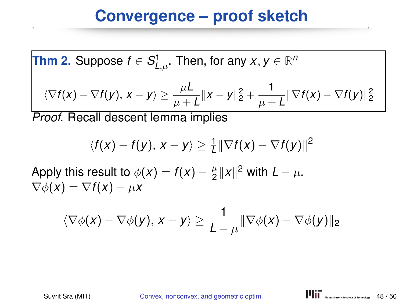**Thm 2.** Suppose 
$$
f \in S^1_{L,\mu}
$$
. Then, for any  $x, y \in \mathbb{R}^n$ 

$$
\langle \nabla f(x) - \nabla f(y), x - y \rangle \geq \frac{\mu L}{\mu + L} \|x - y\|_2^2 + \frac{1}{\mu + L} \|\nabla f(x) - \nabla f(y)\|_2^2
$$

*Proof.* Recall descent lemma implies

$$
\langle f(x)-f(y), x-y\rangle \geq \frac{1}{L} \|\nabla f(x)-\nabla f(y)\|^2
$$

Apply this result to  $\phi(x) = f(x) - \frac{\mu}{2}$  $\frac{\mu}{2}$  || x||<sup>2</sup> with *L* −  $\mu$ .  $\nabla \phi(x) = \nabla f(x) - \mu x$ 

$$
\langle \nabla \phi(\mathbf{x}) - \nabla \phi(\mathbf{y}), \mathbf{x} - \mathbf{y} \rangle \ge \frac{1}{L - \mu} \|\nabla \phi(\mathbf{x}) - \nabla \phi(\mathbf{y})\|_2
$$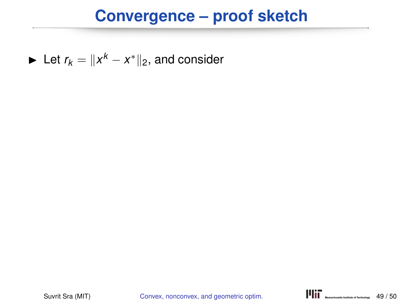► Let  $r_k = ||x^k - x^*||_2$ , and consider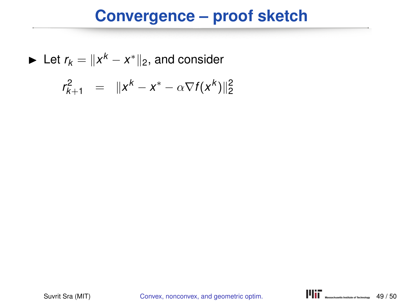Let 
$$
r_k = ||x^k - x^*||_2
$$
, and consider

$$
r_{k+1}^2 = ||x^k - x^* - \alpha \nabla f(x^k)||_2^2
$$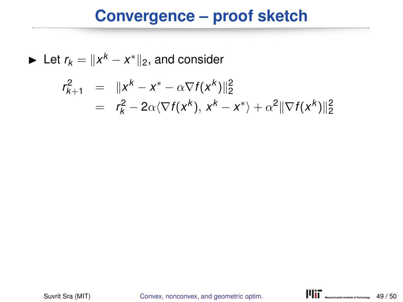► Let  $r_k = ||x^k - x^*||_2$ , and consider

$$
r_{k+1}^2 = ||x^k - x^* - \alpha \nabla f(x^k)||_2^2
$$
  
=  $r_k^2 - 2\alpha \langle \nabla f(x^k), x^k - x^* \rangle + \alpha^2 ||\nabla f(x^k)||_2^2$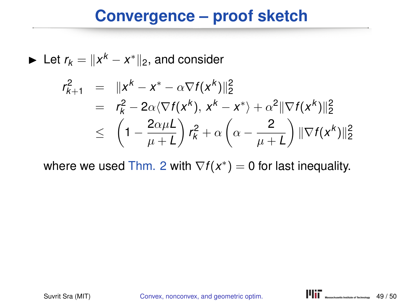► Let  $r_k = ||x^k - x^*||_2$ , and consider

$$
r_{k+1}^2 = ||x^k - x^* - \alpha \nabla f(x^k)||_2^2
$$
  
=  $r_k^2 - 2\alpha \langle \nabla f(x^k), x^k - x^* \rangle + \alpha^2 ||\nabla f(x^k)||_2^2$   

$$
\leq \left(1 - \frac{2\alpha \mu L}{\mu + L}\right) r_k^2 + \alpha \left(\alpha - \frac{2}{\mu + L}\right) ||\nabla f(x^k)||_2^2
$$

where we used Thm. 2 with  $\nabla f(x^*) = 0$  for last inequality.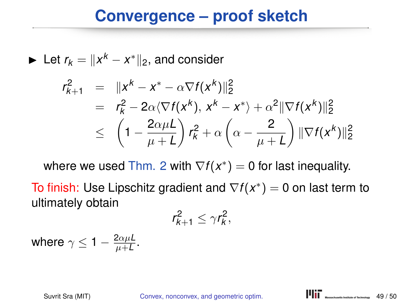## **Convergence – proof sketch**

► Let  $r_k = ||x^k - x^*||_2$ , and consider

$$
r_{k+1}^2 = ||x^k - x^* - \alpha \nabla f(x^k)||_2^2
$$
  
=  $r_k^2 - 2\alpha \langle \nabla f(x^k), x^k - x^* \rangle + \alpha^2 ||\nabla f(x^k)||_2^2$   

$$
\leq \left(1 - \frac{2\alpha \mu L}{\mu + L}\right) r_k^2 + \alpha \left(\alpha - \frac{2}{\mu + L}\right) ||\nabla f(x^k)||_2^2
$$

where we used Thm. 2 with  $\nabla f(x^*) = 0$  for last inequality.

To finish: Use Lipschitz gradient and ∇*f*(*x* ∗ ) = 0 on last term to ultimately obtain

$$
r_{k+1}^2 \leq \gamma r_k^2,
$$

where  $\gamma \leq 1 - \frac{2\alpha\mu L}{\mu + L}$  $\frac{2\alpha\mu L}{\mu+L}$ .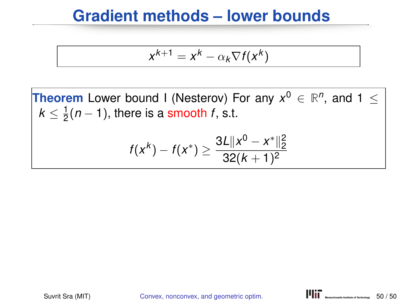## **Gradient methods – lower bounds**

$$
x^{k+1} = x^k - \alpha_k \nabla f(x^k)
$$

**Theorem** Lower bound I (Nesterov) For any  $x^0 \in \mathbb{R}^n$ , and  $1 \leq$  $k \leq \frac{1}{2}$  $\frac{1}{2}(n-1)$ , there is a smooth *f*, s.t.

$$
f(x^k) - f(x^*) \ge \frac{3L||x^0 - x^*||_2^2}{32(k+1)^2}
$$